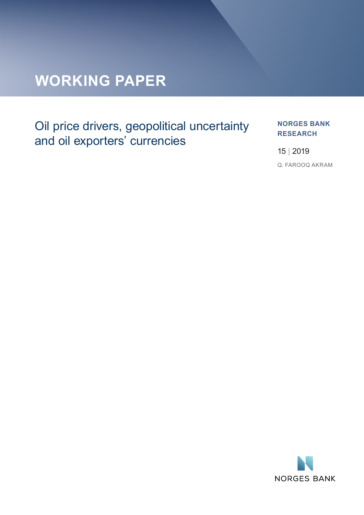## **WORKING PAPER**

## Oil price drivers, geopolitical uncertainty and oil exporters' currencies

#### **NORGES BANK RESEARCH**

15 | 2019

Q. FAROOQ AKRAM

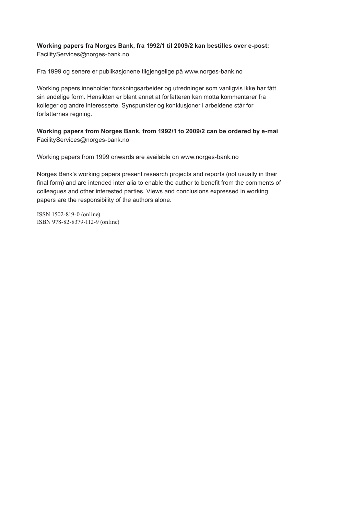## **Working papers fra Norges Bank, fra 1992/1 til 2009/2 kan bestilles over e-post:**

FacilityServices@norges-bank.no

Fra 1999 og senere er publikasjonene tilgjengelige på www.norges-bank.no

Working papers inneholder forskningsarbeider og utredninger som vanligvis ikke har fått sin endelige form. Hensikten er blant annet at forfatteren kan motta kommentarer fra kolleger og andre interesserte. Synspunkter og konklusjoner i arbeidene står for forfatternes regning.

**Working papers from Norges Bank, from 1992/1 to 2009/2 can be ordered by e-mail:** FacilityServices@norges-bank.no

Working papers from 1999 onwards are available on www.norges-bank.no

Norges Bank's working papers present research projects and reports (not usually in their final form) and are intended inter alia to enable the author to benefit from the comments of colleagues and other interested parties. Views and conclusions expressed in working papers are the responsibility of the authors alone.

ISSN 1502-819-0 (online) ISBN 978-82-8379-112-9 (online)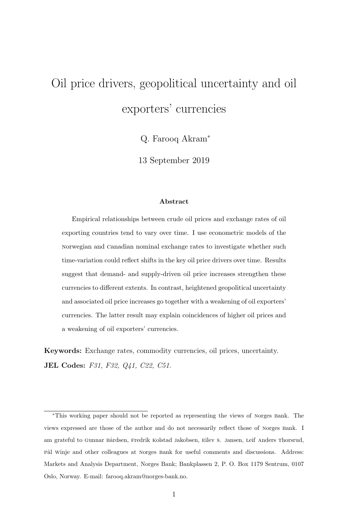# <span id="page-2-0"></span>Oil price drivers, geopolitical uncertainty and oil exporters' currencies

Q. Farooq Akram<sup>∗</sup>

13 September 2019

#### Abstract

Empirical relationships between crude oil prices and exchange rates of oil exporting countries tend to vary over time. I use econometric models of the norwegian and canadian nominal exchange rates to investigate whether such time-variation could reflect shifts in the key oil price drivers over time. Results suggest that demand- and supply-driven oil price increases strengthen these currencies to different extents. In contrast, heightened geopolitical uncertainty and associated oil price increases go together with a weakening of oil exporters' currencies. The latter result may explain coincidences of higher oil prices and a weakening of oil exporters' currencies.

Keywords: Exchange rates, commodity currencies, oil prices, uncertainty. JEL Codes: F31, F32, Q41, C22, C51.

<sup>∗</sup>This working paper should not be reported as representing the views of norges bank. The views expressed are those of the author and do not necessarily reflect those of norges bank. I am grateful to Gunnar Bårdsen, Fredrik Kolstad Jakobsen, Eilev S. Jansen, Leif Anders Thorsrud, pål winje and other colleagues at Norges Bank for useful comments and discussions. Address: Markets and Analysis Department, Norges Bank; Bankplassen 2, P. O. Box 1179 Sentrum, 0107 Oslo, Norway. E-mail: farooq.akram@norges-bank.no.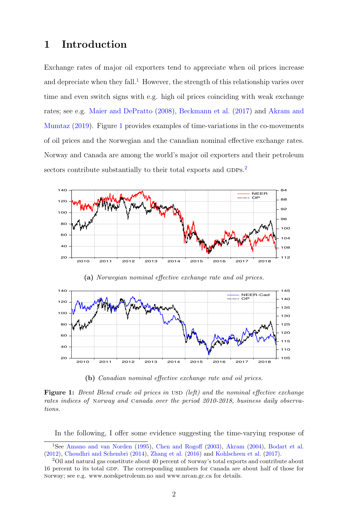## 1 Introduction

Exchange rates of major oil exporters tend to appreciate when oil prices increase and depreciate when they fall.<sup>[1](#page-2-0)</sup> However, the strength of this relationship varies over time and even switch signs with e.g. high oil prices coinciding with weak exchange rates; see e.g. [Maier and DePratto](#page-24-0) [\(2008\)](#page-24-0), [Beckmann et al.](#page-22-0) [\(2017\)](#page-22-0) and [Akram and](#page-22-1) [Mumtaz](#page-22-1) [\(2019\)](#page-22-1). Figure [1](#page-3-0) provides examples of time-variations in the co-movements of oil prices and the norwegian and the canadian nominal effective exchange rates. Norway and canada are among the world's major oil exporters and their petroleum sectors contribute substantially to their total exports and GDPs.<sup>[2](#page-2-0)</sup>

<span id="page-3-0"></span>

(a) Norwegian nominal effective exchange rate and oil prices.



(b) Canadian nominal effective exchange rate and oil prices.

**Figure 1:** Brent Blend crude oil prices in USD (left) and the nominal effective exchange rates indices of norway and canada over the period 2010-2018, business daily observations.

In the following, I offer some evidence suggesting the time-varying response of

<sup>1</sup>See [Amano and van Norden](#page-22-2) [\(1995\)](#page-22-2), [Chen and Rogoff](#page-23-0) [\(2003\)](#page-23-0), [Akram](#page-22-3) [\(2004\)](#page-22-3), [Bodart et al.](#page-23-1) [\(2012\)](#page-23-1), [Choudhri and Schembri](#page-23-2) [\(2014\)](#page-23-2), [Zhang et al.](#page-25-0) [\(2016\)](#page-25-0) and [Kohlscheen et al.](#page-24-1) [\(2017\)](#page-24-1).

<sup>&</sup>lt;sup>2</sup>Oil and natural gas constitute about 40 percent of Norway's total exports and contribute about 16 percent to its total gdp. The corresponding numbers for canada are about half of those for norway; see e.g. www.norskpetroleum.no and www.nrcan.gc.ca for details.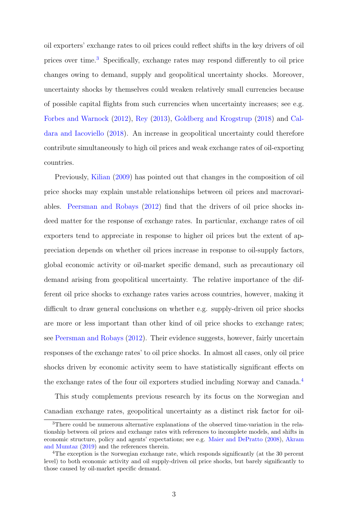oil exporters' exchange rates to oil prices could reflect shifts in the key drivers of oil prices over time.[3](#page-2-0) Specifically, exchange rates may respond differently to oil price changes owing to demand, supply and geopolitical uncertainty shocks. Moreover, uncertainty shocks by themselves could weaken relatively small currencies because of possible capital flights from such currencies when uncertainty increases; see e.g. [Forbes and Warnock](#page-23-3) [\(2012\)](#page-23-3), [Rey](#page-24-2) [\(2013\)](#page-24-2), [Goldberg and Krogstrup](#page-23-4) [\(2018\)](#page-23-4) and [Cal](#page-23-5)[dara and Iacoviello](#page-23-5) [\(2018\)](#page-23-5). An increase in geopolitical uncertainty could therefore contribute simultaneously to high oil prices and weak exchange rates of oil-exporting countries.

Previously, [Kilian](#page-23-6) [\(2009\)](#page-23-6) has pointed out that changes in the composition of oil price shocks may explain unstable relationships between oil prices and macrovariables. [Peersman and Robays](#page-24-3) [\(2012\)](#page-24-3) find that the drivers of oil price shocks indeed matter for the response of exchange rates. In particular, exchange rates of oil exporters tend to appreciate in response to higher oil prices but the extent of appreciation depends on whether oil prices increase in response to oil-supply factors, global economic activity or oil-market specific demand, such as precautionary oil demand arising from geopolitical uncertainty. The relative importance of the different oil price shocks to exchange rates varies across countries, however, making it difficult to draw general conclusions on whether e.g. supply-driven oil price shocks are more or less important than other kind of oil price shocks to exchange rates; see [Peersman and Robays](#page-24-3) [\(2012\)](#page-24-3). Their evidence suggests, however, fairly uncertain responses of the exchange rates' to oil price shocks. In almost all cases, only oil price shocks driven by economic activity seem to have statistically significant effects on the exchange rates of the four oil exporters studied including Norway and Canada.<sup>[4](#page-2-0)</sup>

This study complements previous research by its focus on the norwegian and canadian exchange rates, geopolitical uncertainty as a distinct risk factor for oil-

<sup>3</sup>There could be numerous alternative explanations of the observed time-variation in the relationship between oil prices and exchange rates with references to incomplete models, and shifts in economic structure, policy and agents' expectations; see e.g. [Maier and DePratto](#page-24-0) [\(2008\)](#page-24-0), [Akram](#page-22-1) [and Mumtaz](#page-22-1) [\(2019\)](#page-22-1) and the references therein.

<sup>4</sup>The exception is the norwegian exchange rate, which responds significantly (at the 30 percent level) to both economic activity and oil supply-driven oil price shocks, but barely significantly to those caused by oil-market specific demand.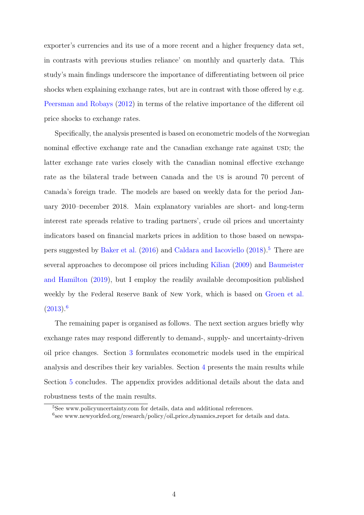exporter's currencies and its use of a more recent and a higher frequency data set, in contrasts with previous studies reliance' on monthly and quarterly data. This study's main findings underscore the importance of differentiating between oil price shocks when explaining exchange rates, but are in contrast with those offered by e.g. [Peersman and Robays](#page-24-3) [\(2012\)](#page-24-3) in terms of the relative importance of the different oil price shocks to exchange rates.

Specifically, the analysis presented is based on econometric models of the norwegian nominal effective exchange rate and the Canadian exchange rate against usp; the latter exchange rate varies closely with the canadian nominal effective exchange rate as the bilateral trade between canada and the us is around 70 percent of canada's foreign trade. The models are based on weekly data for the period January 2010–December 2018. Main explanatory variables are short- and long-term interest rate spreads relative to trading partners', crude oil prices and uncertainty indicators based on financial markets prices in addition to those based on newspapers suggested by [Baker et al.](#page-22-4) [\(2016\)](#page-22-4) and [Caldara and Iacoviello](#page-23-5) [\(2018\)](#page-23-5).[5](#page-2-0) There are several approaches to decompose oil prices including [Kilian](#page-23-6) [\(2009\)](#page-23-6) and [Baumeister](#page-22-5) [and Hamilton](#page-22-5) [\(2019\)](#page-22-5), but I employ the readily available decomposition published weekly by the Federal Reserve Bank of New York, which is based on [Groen et al.](#page-23-7)  $(2013).<sup>6</sup>$  $(2013).<sup>6</sup>$  $(2013).<sup>6</sup>$  $(2013).<sup>6</sup>$ 

The remaining paper is organised as follows. The next section argues briefly why exchange rates may respond differently to demand-, supply- and uncertainty-driven oil price changes. Section [3](#page-8-0) formulates econometric models used in the empirical analysis and describes their key variables. Section [4](#page-14-0) presents the main results while Section [5](#page-21-0) concludes. The appendix provides additional details about the data and robustness tests of the main results.

<sup>&</sup>lt;sup>5</sup>See www.policyuncertainty.com for details, data and additional references.

<sup>&</sup>lt;sup>6</sup>see www.newyorkfed.org/research/policy/oil\_price\_dynamics\_report for details and data.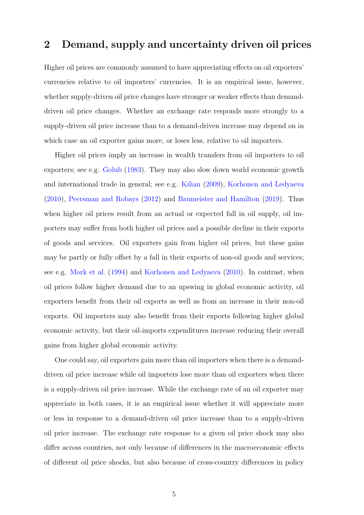## 2 Demand, supply and uncertainty driven oil prices

Higher oil prices are commonly assumed to have appreciating effects on oil exporters' currencies relative to oil importers' currencies. It is an empirical issue, however, whether supply-driven oil price changes have stronger or weaker effects than demanddriven oil price changes. Whether an exchange rate responds more strongly to a supply-driven oil price increase than to a demand-driven increase may depend on in which case an oil exporter gains more, or loses less, relative to oil importers.

Higher oil prices imply an increase in wealth transfers from oil importers to oil exporters; see e.g. [Golub](#page-23-8) [\(1983\)](#page-23-8). They may also slow down world economic growth and international trade in general; see e.g. [Kilian](#page-23-6) [\(2009\)](#page-23-6), [Korhonen and Ledyaeva](#page-24-4) [\(2010\)](#page-24-4), [Peersman and Robays](#page-24-3) [\(2012\)](#page-24-3) and [Baumeister and Hamilton](#page-22-5) [\(2019\)](#page-22-5). Thus when higher oil prices result from an actual or expected fall in oil supply, oil importers may suffer from both higher oil prices and a possible decline in their exports of goods and services. Oil exporters gain from higher oil prices, but these gains may be partly or fully offset by a fall in their exports of non-oil goods and services; see e.g. [Mork et al.](#page-24-5) [\(1994\)](#page-24-5) and [Korhonen and Ledyaeva](#page-24-4) [\(2010\)](#page-24-4). In contrast, when oil prices follow higher demand due to an upswing in global economic activity, oil exporters benefit from their oil exports as well as from an increase in their non-oil exports. Oil importers may also benefit from their exports following higher global economic activity, but their oil-imports expenditures increase reducing their overall gains from higher global economic activity.

One could say, oil exporters gain more than oil importers when there is a demanddriven oil price increase while oil importers lose more than oil exporters when there is a supply-driven oil price increase. While the exchange rate of an oil exporter may appreciate in both cases, it is an empirical issue whether it will appreciate more or less in response to a demand-driven oil price increase than to a supply-driven oil price increase. The exchange rate response to a given oil price shock may also differ across countries, not only because of differences in the macroeconomic effects of different oil price shocks, but also because of cross-country differences in policy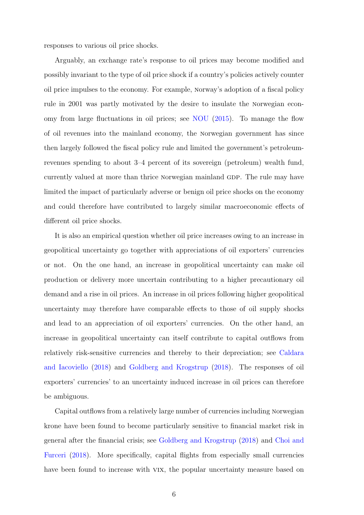responses to various oil price shocks.

Arguably, an exchange rate's response to oil prices may become modified and possibly invariant to the type of oil price shock if a country's policies actively counter oil price impulses to the economy. For example, norway's adoption of a fiscal policy rule in 2001 was partly motivated by the desire to insulate the norwegian economy from large fluctuations in oil prices; see [NOU](#page-24-6) [\(2015\)](#page-24-6). To manage the flow of oil revenues into the mainland economy, the norwegian government has since then largely followed the fiscal policy rule and limited the government's petroleumrevenues spending to about 3–4 percent of its sovereign (petroleum) wealth fund, currently valued at more than thrice norwegian mainland gdp. The rule may have limited the impact of particularly adverse or benign oil price shocks on the economy and could therefore have contributed to largely similar macroeconomic effects of different oil price shocks.

It is also an empirical question whether oil price increases owing to an increase in geopolitical uncertainty go together with appreciations of oil exporters' currencies or not. On the one hand, an increase in geopolitical uncertainty can make oil production or delivery more uncertain contributing to a higher precautionary oil demand and a rise in oil prices. An increase in oil prices following higher geopolitical uncertainty may therefore have comparable effects to those of oil supply shocks and lead to an appreciation of oil exporters' currencies. On the other hand, an increase in geopolitical uncertainty can itself contribute to capital outflows from relatively risk-sensitive currencies and thereby to their depreciation; see [Caldara](#page-23-5) [and Iacoviello](#page-23-5) [\(2018\)](#page-23-5) and [Goldberg and Krogstrup](#page-23-4) [\(2018\)](#page-23-4). The responses of oil exporters' currencies' to an uncertainty induced increase in oil prices can therefore be ambiguous.

Capital outflows from a relatively large number of currencies including norwegian krone have been found to become particularly sensitive to financial market risk in general after the financial crisis; see [Goldberg and Krogstrup](#page-23-4) [\(2018\)](#page-23-4) and [Choi and](#page-23-9) [Furceri](#page-23-9) [\(2018\)](#page-23-9). More specifically, capital flights from especially small currencies have been found to increase with vix, the popular uncertainty measure based on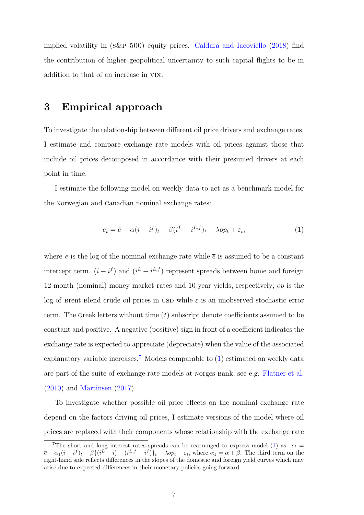implied volatility in  $(S\&P 500)$  equity prices. [Caldara and Iacoviello](#page-23-5)  $(2018)$  find the contribution of higher geopolitical uncertainty to such capital flights to be in addition to that of an increase in vix.

## <span id="page-8-0"></span>3 Empirical approach

To investigate the relationship between different oil price drivers and exchange rates, I estimate and compare exchange rate models with oil prices against those that include oil prices decomposed in accordance with their presumed drivers at each point in time.

I estimate the following model on weekly data to act as a benchmark model for the norwegian and canadian nominal exchange rates:

<span id="page-8-1"></span>
$$
e_t = \overline{e} - \alpha (i - i^f)_t - \beta (i^L - i^{L,f})_t - \lambda op_t + \varepsilon_t, \tag{1}
$$

where e is the log of the nominal exchange rate while  $\bar{e}$  is assumed to be a constant intercept term.  $(i - i^f)$  and  $(i^L - i^{L,f})$  represent spreads between home and foreign 12-month (nominal) money market rates and 10-year yields, respectively; op is the log of Brent Blend crude oil prices in USD while  $\varepsilon$  is an unobserved stochastic error term. The Greek letters without time  $(t)$  subscript denote coefficients assumed to be constant and positive. A negative (positive) sign in front of a coefficient indicates the exchange rate is expected to appreciate (depreciate) when the value of the associated explanatory variable increases.<sup>[7](#page-2-0)</sup> Models comparable to [\(1\)](#page-8-1) estimated on weekly data are part of the suite of exchange rate models at norges bank; see e.g. [Flatner et al.](#page-23-10) [\(2010\)](#page-23-10) and [Martinsen](#page-24-7) [\(2017\)](#page-24-7).

To investigate whether possible oil price effects on the nominal exchange rate depend on the factors driving oil prices, I estimate versions of the model where oil prices are replaced with their components whose relationship with the exchange rate

<sup>&</sup>lt;sup>7</sup>The short and long interest rates spreads can be rearranged to express model [\(1\)](#page-8-1) as:  $e_t$  =  $\overline{e}-\alpha_1(i-*i*<sup>f</sup>)<sub>t</sub> - \beta\{(i^L - i) - (i^{L,f} - i^f)\}<sub>t</sub> - \lambda op_t + \varepsilon_t$ , where  $\alpha_1 = \alpha + \beta$ . The third term on the right-hand side reflects differences in the slopes of the domestic and foreign yield curves which may arise due to expected differences in their monetary policies going forward.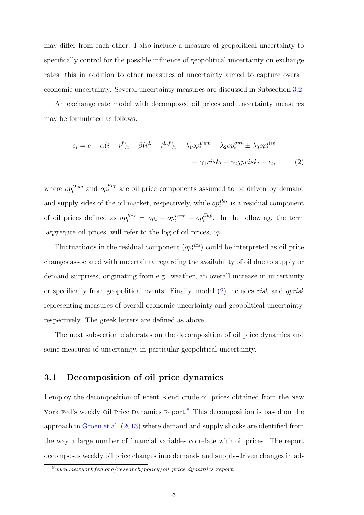may differ from each other. I also include a measure of geopolitical uncertainty to specifically control for the possible influence of geopolitical uncertainty on exchange rates; this in addition to other measures of uncertainty aimed to capture overall economic uncertainty. Several uncertainty measures are discussed in Subsection [3.2.](#page-11-0)

An exchange rate model with decomposed oil prices and uncertainty measures may be formulated as follows:

<span id="page-9-0"></span>
$$
e_t = \overline{e} - \alpha (i - i^f)_t - \beta (i^L - i^{L,f})_t - \lambda_1 op_t^{Dem} - \lambda_2 op_t^{Sup} \pm \lambda_3 op_t^{Res} + \gamma_1 risk_t + \gamma_2 gprisk_t + \epsilon_t,
$$
 (2)

where  $op_t^{Dem}$  and  $op_t^{Sup}$  are oil price components assumed to be driven by demand and supply sides of the oil market, respectively, while  $op_t^{Res}$  is a residual component of oil prices defined as  $op_t^{Res} = op_t - op_t^{Dem} - op_t^{Sup}$  $t_t^{sup}$ . In the following, the term 'aggregate oil prices' will refer to the log of oil prices, op.

Fluctuationts in the residual component  $(op_t^{Res})$  could be interpreted as oil price changes associated with uncertainty regarding the availability of oil due to supply or demand surprises, originating from e.g. weather, an overall increase in uncertainty or specifically from geopolitical events. Finally, model  $(2)$  includes risk and gprisk representing measures of overall economic uncertainty and geopolitical uncertainty, respectively. The greek letters are defined as above.

The next subsection elaborates on the decomposition of oil price dynamics and some measures of uncertainty, in particular geopolitical uncertainty.

#### 3.1 Decomposition of oil price dynamics

I employ the decomposition of brent blend crude oil prices obtained from the new York Fed's weekly oil Price Dynamics Report.<sup>[8](#page-2-0)</sup> This decomposition is based on the approach in [Groen et al.](#page-23-7) [\(2013\)](#page-23-7) where demand and supply shocks are identified from the way a large number of financial variables correlate with oil prices. The report decomposes weekly oil price changes into demand- and supply-driven changes in ad-

 $8$ www.newyorkfed.org/research/policy/oil\_price\_dynamics\_report.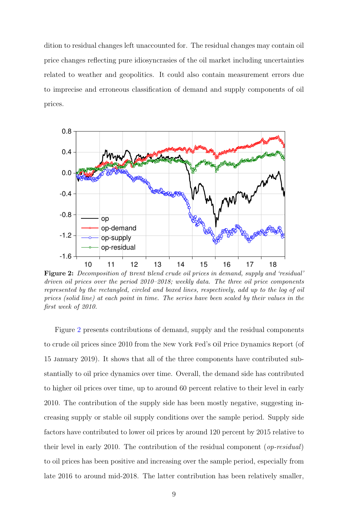dition to residual changes left unaccounted for. The residual changes may contain oil price changes reflecting pure idiosyncrasies of the oil market including uncertainties related to weather and geopolitics. It could also contain measurement errors due to imprecise and erroneous classification of demand and supply components of oil prices.

<span id="page-10-0"></span>

Figure 2: Decomposition of Brent Blend crude oil prices in demand, supply and 'residual' driven oil prices over the period 2010–2018; weekly data. The three oil price components represented by the rectangled, circled and boxed lines, respectively, add up to the log of oil prices (solid line) at each point in time. The series have been scaled by their values in the first week of 2010.

Figure [2](#page-10-0) presents contributions of demand, supply and the residual components to crude oil prices since 2010 from the New York Fed's Oil Price Dynamics Report (of 15 january 2019). It shows that all of the three components have contributed substantially to oil price dynamics over time. Overall, the demand side has contributed to higher oil prices over time, up to around 60 percent relative to their level in early 2010. The contribution of the supply side has been mostly negative, suggesting increasing supply or stable oil supply conditions over the sample period. Supply side factors have contributed to lower oil prices by around 120 percent by 2015 relative to their level in early 2010. The contribution of the residual component (op-residual) to oil prices has been positive and increasing over the sample period, especially from late 2016 to around mid-2018. The latter contribution has been relatively smaller,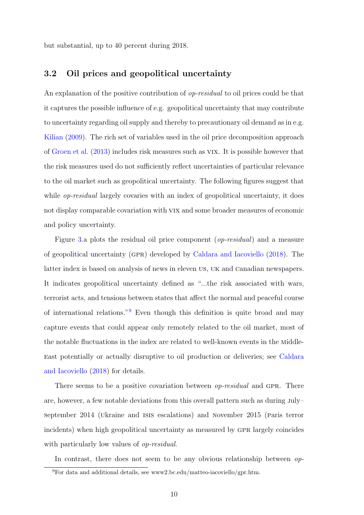but substantial, up to 40 percent during 2018.

#### <span id="page-11-0"></span>3.2 Oil prices and geopolitical uncertainty

An explanation of the positive contribution of *op-residual* to oil prices could be that it captures the possible influence of e.g. geopolitical uncertainty that may contribute to uncertainty regarding oil supply and thereby to precautionary oil demand as in e.g. [Kilian](#page-23-6) [\(2009\)](#page-23-6). The rich set of variables used in the oil price decomposition approach of [Groen et al.](#page-23-7) [\(2013\)](#page-23-7) includes risk measures such as vix. It is possible however that the risk measures used do not sufficiently reflect uncertainties of particular relevance to the oil market such as geopolitical uncertainty. The following figures suggest that while *op-residual* largely covaries with an index of geopolitical uncertainty, it does not display comparable covariation with vix and some broader measures of economic and policy uncertainty.

Figure [3.](#page-12-0)a plots the residual oil price component (op-residual) and a measure of geopolitical uncertainty (gpr) developed by [Caldara and Iacoviello](#page-23-5) [\(2018\)](#page-23-5). The latter index is based on analysis of news in eleven us, uk and canadian newspapers. It indicates geopolitical uncertainty defined as "...the risk associated with wars, terrorist acts, and tensions between states that affect the normal and peaceful course of international relations."[9](#page-2-0) Even though this definition is quite broad and may capture events that could appear only remotely related to the oil market, most of the notable fluctuations in the index are related to well-known events in the middleeast potentially or actually disruptive to oil production or deliveries; see [Caldara](#page-23-5) [and Iacoviello](#page-23-5) [\(2018\)](#page-23-5) for details.

There seems to be a positive covariation between *op-residual* and GPR. There are, however, a few notable deviations from this overall pattern such as during july– september 2014 (ukraine and isis escalations) and november 2015 (paris terror incidents) when high geopolitical uncertainty as measured by GPR largely coincides with particularly low values of *op-residual*.

In contrast, there does not seem to be any obvious relationship between *op*-

 $^{9}$ For data and additional details, see www2.bc.edu/matteo-iacoviello/gpr.htm.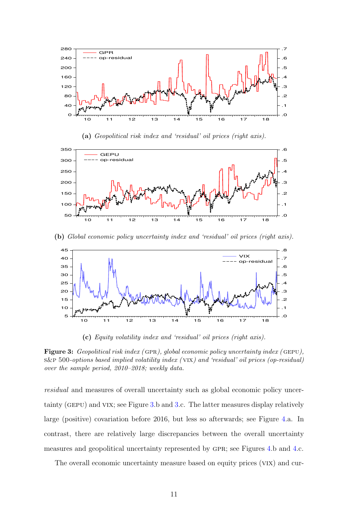<span id="page-12-0"></span>

(a) Geopolitical risk index and 'residual' oil prices (right axis).



(b) Global economic policy uncertainty index and 'residual' oil prices (right axis).



(c) Equity volatility index and 'residual' oil prices (right axis).

Figure 3: Geopolitical risk index (GPR), global economic policy uncertainty index (GEPU), s&p 500-options based implied volatility index ( vix) and 'residual' oil prices (op-residual) over the sample period, 2010–2018; weekly data.

residual and measures of overall uncertainty such as global economic policy uncertainty (gepu) and vix; see Figure [3.](#page-12-0)b and [3.](#page-12-0)c. The latter measures display relatively large (positive) covariation before 2016, but less so afterwards; see Figure [4.](#page-13-0)a. In contrast, there are relatively large discrepancies between the overall uncertainty measures and geopolitical uncertainty represented by GPR; see Figures [4.](#page-13-0)b and 4.c.

The overall economic uncertainty measure based on equity prices (vix) and cur-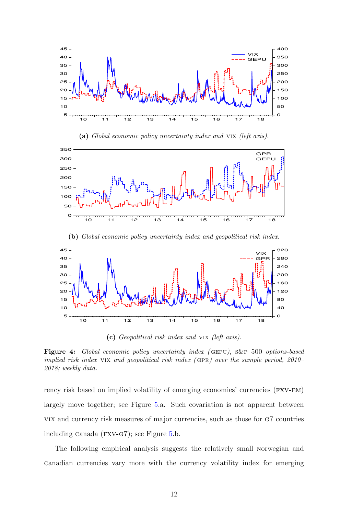<span id="page-13-0"></span>





(b) Global economic policy uncertainty index and geopolitical risk index.



(c) Geopolitical risk index and vix (left axis).

Figure 4: Global economic policy uncertainty index (GEPU), S&P 500 options-based implied risk index VIX and geopolitical risk index (GPR) over the sample period,  $2010-$ 2018; weekly data.

rency risk based on implied volatility of emerging economies' currencies (FXV-EM) largely move together; see Figure [5.](#page-14-1)a. Such covariation is not apparent between vix and currency risk measures of major currencies, such as those for g7 countries including canada (fxv-g7); see Figure [5.](#page-14-1)b.

The following empirical analysis suggests the relatively small norwegian and canadian currencies vary more with the currency volatility index for emerging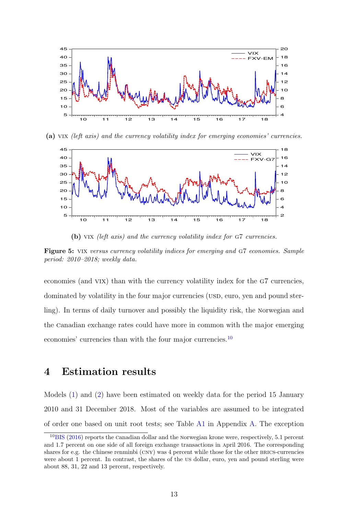<span id="page-14-1"></span>

(a) vix (left axis) and the currency volatility index for emerging economies' currencies.



(b) VIX (left axis) and the currency volatility index for G7 currencies.

Figure 5: VIX versus currency volatility indices for emerging and G7 economies. Sample period: 2010–2018; weekly data.

economies (and VIX) than with the currency volatility index for the G7 currencies, dominated by volatility in the four major currencies (USD, euro, yen and pound sterling). In terms of daily turnover and possibly the liquidity risk, the norwegian and the canadian exchange rates could have more in common with the major emerging economies' currencies than with the four major currencies.<sup>[10](#page-2-0)</sup>

## <span id="page-14-0"></span>4 Estimation results

Models [\(1\)](#page-8-1) and [\(2\)](#page-9-0) have been estimated on weekly data for the period 15 January 2010 and 31 December 2018. Most of the variables are assumed to be integrated of order one based on unit root tests; see Table [A1](#page-27-0) in Appendix [A.](#page-25-1) The exception

<sup>&</sup>lt;sup>10</sup>[BIS](#page-22-6) [\(2016\)](#page-22-6) reports the canadian dollar and the Norwegian krone were, respectively, 5.1 percent and 1.7 percent on one side of all foreign exchange transactions in april 2016. The corresponding shares for e.g. the chinese renminbi  $(CNY)$  was 4 percent while those for the other BRICS-currencies were about 1 percent. In contrast, the shares of the us dollar, euro, yen and pound sterling were about 88, 31, 22 and 13 percent, respectively.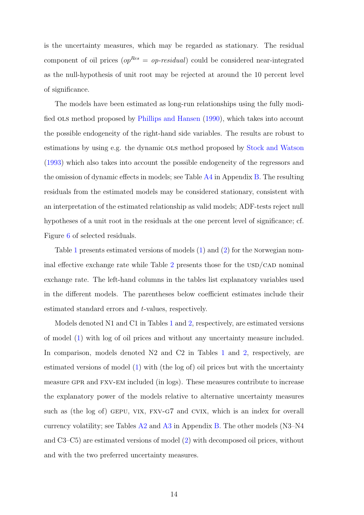is the uncertainty measures, which may be regarded as stationary. The residual component of oil prices ( $op^{Res} = op-residual$ ) could be considered near-integrated as the null-hypothesis of unit root may be rejected at around the 10 percent level of significance.

The models have been estimated as long-run relationships using the fully modified ols method proposed by [Phillips and Hansen](#page-24-8) [\(1990\)](#page-24-8), which takes into account the possible endogeneity of the right-hand side variables. The results are robust to estimations by using e.g. the dynamic ols method proposed by [Stock and Watson](#page-24-9) [\(1993\)](#page-24-9) which also takes into account the possible endogeneity of the regressors and the omission of dynamic effects in models; see Table [A4](#page-30-0) in Appendix [B.](#page-27-1) The resulting residuals from the estimated models may be considered stationary, consistent with an interpretation of the estimated relationship as valid models; ADF-tests reject null hypotheses of a unit root in the residuals at the one percent level of significance; cf. Figure [6](#page-20-0) of selected residuals.

Table [1](#page-16-0) presents estimated versions of models [\(1\)](#page-8-1) and [\(2\)](#page-9-0) for the norwegian nom-inal effective exchange rate while Table [2](#page-17-0) presents those for the  $\text{USD}/\text{CAD}$  nominal exchange rate. The left-hand columns in the tables list explanatory variables used in the different models. The parentheses below coefficient estimates include their estimated standard errors and t-values, respectively.

Models denoted N1 and C1 in Tables [1](#page-16-0) and [2,](#page-17-0) respectively, are estimated versions of model [\(1\)](#page-8-1) with log of oil prices and without any uncertainty measure included. In comparison, models denoted N2 and C2 in Tables [1](#page-16-0) and [2,](#page-17-0) respectively, are estimated versions of model [\(1\)](#page-8-1) with (the log of) oil prices but with the uncertainty measure GPR and FXV-EM included (in logs). These measures contribute to increase the explanatory power of the models relative to alternative uncertainty measures such as (the log of) GEPU, VIX, FXV-G7 and CVIX, which is an index for overall currency volatility; see Tables  $A2$  and  $A3$  in Appendix [B.](#page-27-1) The other models (N3–N4 and C3–C5) are estimated versions of model [\(2\)](#page-9-0) with decomposed oil prices, without and with the two preferred uncertainty measures.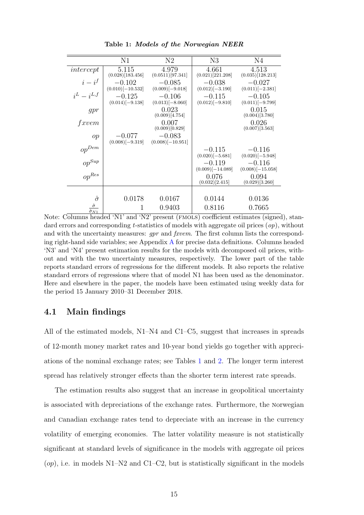<span id="page-16-0"></span>

|                     | N1                              | N2                              | N3                              | N4                             |
|---------------------|---------------------------------|---------------------------------|---------------------------------|--------------------------------|
| intercept           | 5.115<br>(0.028)[183.456]       | 4.979<br>(0.0511)[97.341]       | 4.661<br>(0.021)[221.208]       | 4.513<br>(0.035)[128.213]      |
| $i-i^f$             | $-0.102$<br>$(0.010)$ [-10.532] | $-0.085$<br>$(0.009)$ [-9.018]  | $-0.038$<br>$(0.012)$ [-3.190]  | $-0.027$<br>$(0.011)$ [-2.381] |
| $i^L - i^{L,f}$     | $-0.125$<br>$(0.014)$ [-9.138]  | $-0.106$<br>$(0.013)$ [-8.060]  | $-0.115$<br>$(0.012)$ [-9.810]  | $-0.105$<br>$(0.011)[-9.799]$  |
| gpr                 |                                 | 0.023<br>(0.009)[4.754]         |                                 | 0.015<br>(0.004)[3.780]        |
| fxvem               |                                 | 0.007<br>(0.009)[0.829]         |                                 | 0.026<br>(0.007)[3.563]        |
| op                  | $-0.077$<br>$(0.008)$ [-9.319]  | $-0.083$<br>$(0.008)$ [-10.951] |                                 |                                |
| $\mathit{op}^{Dem}$ |                                 |                                 | $-0.115$<br>$(0.020)$ [-5.681]  | $-0.116$<br>$(0.020)$ [-5.948] |
| $op^{Sup}$          |                                 |                                 | $-0.119$<br>$(0.009)$ [-14.089] | $-0.116$<br>$(0.008)[-15.058]$ |
| $\mathit{op}^{Res}$ |                                 |                                 | 0.076<br>(0.032)[2.415]         | 0.094<br>(0.029)[3.260]        |
|                     |                                 |                                 |                                 |                                |
| $\hat{\sigma}$      | 0.0178                          | 0.0167                          | 0.0144                          | 0.0136                         |
| $\hat{\sigma}$      | 1                               | 0.9403                          | 0.8116                          | 0.7665                         |

Table 1: Models of the Norwegian NEER

Note: Columns headed 'N1' and 'N2' present (FMOLS) coefficient estimates (signed), standard errors and corresponding t-statistics of models with aggregate oil prices  $(op)$ , without and with the uncertainty measures:  $gpr$  and  $fxvem$ . The first column lists the corresponding right-hand side variables; see Appendix [A](#page-25-1) for precise data definitions. Columns headed 'N3' and 'N4' present estimation results for the models with decomposed oil prices, without and with the two uncertainty measures, respectively. The lower part of the table reports standard errors of regressions for the different models. It also reports the relative standard errors of regressions where that of model N1 has been used as the denominator. Here and elsewhere in the paper, the models have been estimated using weekly data for the period 15 January 2010–31 December 2018.

#### 4.1 Main findings

All of the estimated models, N1–N4 and C1–C5, suggest that increases in spreads of 12-month money market rates and 10-year bond yields go together with appreciations of the nominal exchange rates; see Tables [1](#page-16-0) and [2.](#page-17-0) The longer term interest spread has relatively stronger effects than the shorter term interest rate spreads.

The estimation results also suggest that an increase in geopolitical uncertainty is associated with depreciations of the exchange rates. Furthermore, the norwegian and canadian exchange rates tend to depreciate with an increase in the currency volatility of emerging economies. The latter volatility measure is not statistically significant at standard levels of significance in the models with aggregate oil prices  $(op)$ , i.e. in models N1–N2 and C1–C2, but is statistically significant in the models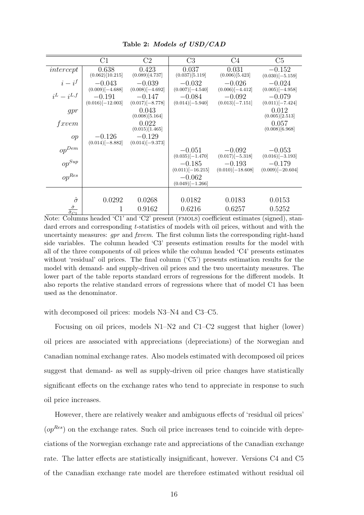<span id="page-17-0"></span>

|                                                  | C1                              | C2                             | C3                              | C4                              | C5                             |
|--------------------------------------------------|---------------------------------|--------------------------------|---------------------------------|---------------------------------|--------------------------------|
| intercept                                        | 0.638<br>(0.062)[10.215]        | 0.423<br>(0.089)[4.737]        | 0.037<br>(0.037)[5.119]         | 0.031<br>(0.006)[5.423]         | $-0.152$<br>$(0.030)[-5.159]$  |
| $i-i^f$                                          | $-0.043$<br>$(0.009)$ [-4.688]  | $-0.039$<br>$(0.008)[-4.692]$  | $-0.032$<br>$(0.007)[-4.540]$   | $-0.026$<br>$(0.006)$ [-4.412]  | $-0.024$<br>$(0.005)$ [-4.958] |
| $i^L = i^{L,f}$                                  | $-0.191$<br>$(0.016)$ [-12.003] | $-0.147$<br>$(0.017)$ [-8.778] | $-0.084$<br>$(0.014)[-5.940]$   | $-0.092$<br>$(0.013)[-7.151]$   | $-0.079$<br>$(0.011)$ [-7.424] |
| gpr                                              |                                 | 0.043<br>(0.008)[5.164]        |                                 |                                 | 0.012<br>(0.005)[2.513]        |
| fxvem                                            |                                 | 0.022<br>(0.015)[1.465]        |                                 |                                 | 0.057<br>(0.008)[6.968]        |
| op                                               | $-0.126$<br>$(0.014)$ [-8.882]  | $-0.129$<br>$(0.014)$ [-9.373] |                                 |                                 |                                |
| $\mathit{op}^{Dem}$                              |                                 |                                | $-0.051$<br>$(0.035)[-1.470]$   | $-0.092$<br>$(0.017)$ [-5.318]  | $-0.053$<br>$(0.016)$ [-3.193] |
| $\mathit{op}^{Sup}$                              |                                 |                                | $-0.185$<br>$(0.011)$ [-16.215] | $-0.193$<br>$(0.010)$ [-18.608] | $-0.179$<br>$(0.009)[-20.604]$ |
| $op^{Res}$                                       |                                 |                                | $-0.062$<br>$(0.049)$ [-1.266]  |                                 |                                |
|                                                  |                                 |                                |                                 |                                 |                                |
| $\hat{\sigma}$                                   | 0.0292                          | 0.0268                         | 0.0182                          | 0.0183                          | 0.0153                         |
| $\hat{\sigma}$<br>$\overline{\hat{\sigma}_{C1}}$ | 1                               | 0.9162                         | 0.6216                          | 0.6257                          | 0.5252                         |

Table 2: Models of USD/CAD

Note: Columns headed 'C1' and 'C2' present (fmols) coefficient estimates (signed), standard errors and corresponding t-statistics of models with oil prices, without and with the uncertainty measures:  $qpr$  and  $fxvem$ . The first column lists the corresponding right-hand side variables. The column headed 'C3' presents estimation results for the model with all of the three components of oil prices while the column headed 'C4' presents estimates without 'residual' oil prices. The final column ('C5') presents estimation results for the model with demand- and supply-driven oil prices and the two uncertainty measures. The lower part of the table reports standard errors of regressions for the different models. It also reports the relative standard errors of regressions where that of model C1 has been used as the denominator.

with decomposed oil prices: models N3–N4 and C3–C5.

Focusing on oil prices, models N1–N2 and C1–C2 suggest that higher (lower) oil prices are associated with appreciations (depreciations) of the norwegian and canadian nominal exchange rates. Also models estimated with decomposed oil prices suggest that demand- as well as supply-driven oil price changes have statistically significant effects on the exchange rates who tend to appreciate in response to such oil price increases.

However, there are relatively weaker and ambiguous effects of 'residual oil prices'  $(op^{Res})$  on the exchange rates. Such oil price increases tend to coincide with depreciations of the norwegian exchange rate and appreciations of the canadian exchange rate. The latter effects are statistically insignificant, however. Versions C4 and C5 of the canadian exchange rate model are therefore estimated without residual oil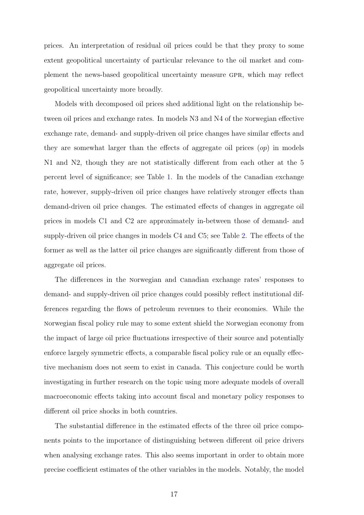prices. An interpretation of residual oil prices could be that they proxy to some extent geopolitical uncertainty of particular relevance to the oil market and complement the news-based geopolitical uncertainty measure gpr, which may reflect geopolitical uncertainty more broadly.

Models with decomposed oil prices shed additional light on the relationship between oil prices and exchange rates. In models N3 and N4 of the norwegian effective exchange rate, demand- and supply-driven oil price changes have similar effects and they are somewhat larger than the effects of aggregate oil prices  $(op)$  in models N1 and N2, though they are not statistically different from each other at the 5 percent level of significance; see Table [1.](#page-16-0) In the models of the canadian exchange rate, however, supply-driven oil price changes have relatively stronger effects than demand-driven oil price changes. The estimated effects of changes in aggregate oil prices in models C1 and C2 are approximately in-between those of demand- and supply-driven oil price changes in models C4 and C5; see Table [2.](#page-17-0) The effects of the former as well as the latter oil price changes are significantly different from those of aggregate oil prices.

The differences in the norwegian and canadian exchange rates' responses to demand- and supply-driven oil price changes could possibly reflect institutional differences regarding the flows of petroleum revenues to their economies. While the norwegian fiscal policy rule may to some extent shield the norwegian economy from the impact of large oil price fluctuations irrespective of their source and potentially enforce largely symmetric effects, a comparable fiscal policy rule or an equally effective mechanism does not seem to exist in canada. This conjecture could be worth investigating in further research on the topic using more adequate models of overall macroeconomic effects taking into account fiscal and monetary policy responses to different oil price shocks in both countries.

The substantial difference in the estimated effects of the three oil price components points to the importance of distinguishing between different oil price drivers when analysing exchange rates. This also seems important in order to obtain more precise coefficient estimates of the other variables in the models. Notably, the model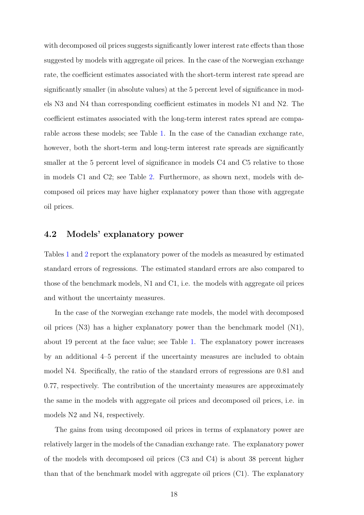with decomposed oil prices suggests significantly lower interest rate effects than those suggested by models with aggregate oil prices. In the case of the norwegian exchange rate, the coefficient estimates associated with the short-term interest rate spread are significantly smaller (in absolute values) at the 5 percent level of significance in models N3 and N4 than corresponding coefficient estimates in models N1 and N2. The coefficient estimates associated with the long-term interest rates spread are comparable across these models; see Table [1.](#page-16-0) In the case of the canadian exchange rate, however, both the short-term and long-term interest rate spreads are significantly smaller at the 5 percent level of significance in models C4 and C5 relative to those in models C1 and C2; see Table [2.](#page-17-0) Furthermore, as shown next, models with decomposed oil prices may have higher explanatory power than those with aggregate oil prices.

#### 4.2 Models' explanatory power

Tables [1](#page-16-0) and [2](#page-17-0) report the explanatory power of the models as measured by estimated standard errors of regressions. The estimated standard errors are also compared to those of the benchmark models, N1 and C1, i.e. the models with aggregate oil prices and without the uncertainty measures.

In the case of the norwegian exchange rate models, the model with decomposed oil prices (N3) has a higher explanatory power than the benchmark model (N1), about 19 percent at the face value; see Table [1.](#page-16-0) The explanatory power increases by an additional 4–5 percent if the uncertainty measures are included to obtain model N4. Specifically, the ratio of the standard errors of regressions are 0.81 and 0.77, respectively. The contribution of the uncertainty measures are approximately the same in the models with aggregate oil prices and decomposed oil prices, i.e. in models N2 and N4, respectively.

The gains from using decomposed oil prices in terms of explanatory power are relatively larger in the models of the canadian exchange rate. The explanatory power of the models with decomposed oil prices (C3 and C4) is about 38 percent higher than that of the benchmark model with aggregate oil prices (C1). The explanatory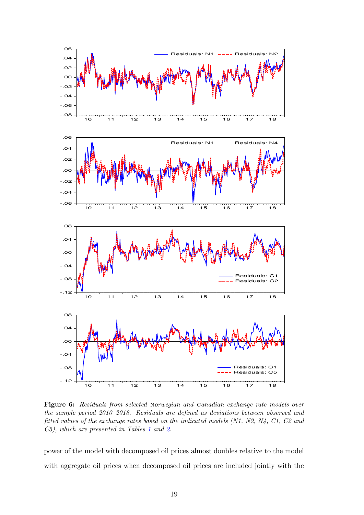<span id="page-20-0"></span>

Figure 6: Residuals from selected Norwegian and Canadian exchange rate models over the sample period 2010–2018. Residuals are defined as deviations between observed and fitted values of the exchange rates based on the indicated models (N1, N2, N4, C1, C2 and C5), which are presented in Tables [1](#page-16-0) and [2.](#page-17-0)

power of the model with decomposed oil prices almost doubles relative to the model with aggregate oil prices when decomposed oil prices are included jointly with the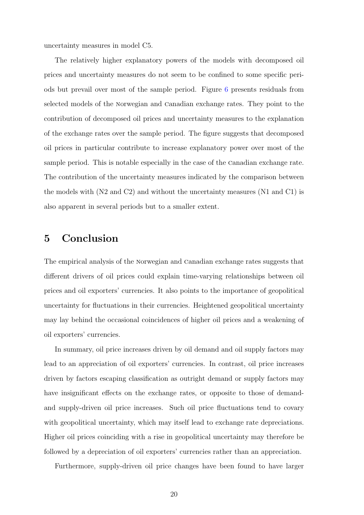uncertainty measures in model C5.

The relatively higher explanatory powers of the models with decomposed oil prices and uncertainty measures do not seem to be confined to some specific periods but prevail over most of the sample period. Figure [6](#page-20-0) presents residuals from selected models of the norwegian and canadian exchange rates. They point to the contribution of decomposed oil prices and uncertainty measures to the explanation of the exchange rates over the sample period. The figure suggests that decomposed oil prices in particular contribute to increase explanatory power over most of the sample period. This is notable especially in the case of the canadian exchange rate. The contribution of the uncertainty measures indicated by the comparison between the models with  $(N2 \text{ and } C2)$  and without the uncertainty measures  $(N1 \text{ and } C1)$  is also apparent in several periods but to a smaller extent.

## <span id="page-21-0"></span>5 Conclusion

The empirical analysis of the norwegian and canadian exchange rates suggests that different drivers of oil prices could explain time-varying relationships between oil prices and oil exporters' currencies. It also points to the importance of geopolitical uncertainty for fluctuations in their currencies. Heightened geopolitical uncertainty may lay behind the occasional coincidences of higher oil prices and a weakening of oil exporters' currencies.

In summary, oil price increases driven by oil demand and oil supply factors may lead to an appreciation of oil exporters' currencies. In contrast, oil price increases driven by factors escaping classification as outright demand or supply factors may have insignificant effects on the exchange rates, or opposite to those of demandand supply-driven oil price increases. Such oil price fluctuations tend to covary with geopolitical uncertainty, which may itself lead to exchange rate depreciations. Higher oil prices coinciding with a rise in geopolitical uncertainty may therefore be followed by a depreciation of oil exporters' currencies rather than an appreciation.

Furthermore, supply-driven oil price changes have been found to have larger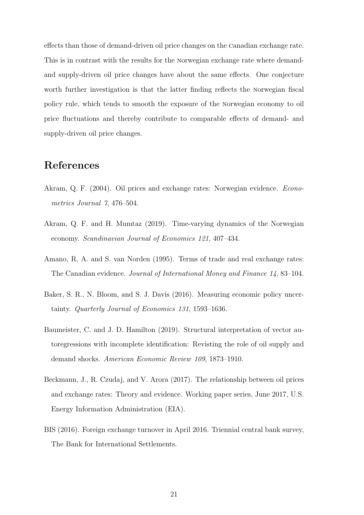effects than those of demand-driven oil price changes on the canadian exchange rate. This is in contrast with the results for the norwegian exchange rate where demandand supply-driven oil price changes have about the same effects. One conjecture worth further investigation is that the latter finding reflects the norwegian fiscal policy rule, which tends to smooth the exposure of the norwegian economy to oil price fluctuations and thereby contribute to comparable effects of demand- and supply-driven oil price changes.

## References

- <span id="page-22-3"></span>Akram, Q. F. (2004). Oil prices and exchange rates: Norwegian evidence. Econometrics Journal 7, 476–504.
- <span id="page-22-1"></span>Akram, Q. F. and H. Mumtaz (2019). Time-varying dynamics of the Norwegian economy. Scandinavian Journal of Economics 121, 407–434.
- <span id="page-22-2"></span>Amano, R. A. and S. van Norden (1995). Terms of trade and real exchange rates: The Canadian evidence. Journal of International Money and Finance 14, 83–104.
- <span id="page-22-4"></span>Baker, S. R., N. Bloom, and S. J. Davis (2016). Measuring economic policy uncertainty. Quarterly Journal of Economics 131, 1593–1636.
- <span id="page-22-5"></span>Baumeister, C. and J. D. Hamilton (2019). Structural interpretation of vector autoregressions with incomplete identification: Revisting the role of oil supply and demand shocks. American Economic Review 109, 1873–1910.
- <span id="page-22-0"></span>Beckmann, J., R. Czudaj, and V. Arora (2017). The relationship between oil prices and exchange rates: Theory and evidence. Working paper series, June 2017, U.S. Energy Information Administration (EIA).
- <span id="page-22-6"></span>BIS (2016). Foreign exchange turnover in April 2016. Triennial central bank survey, The Bank for International Settlements.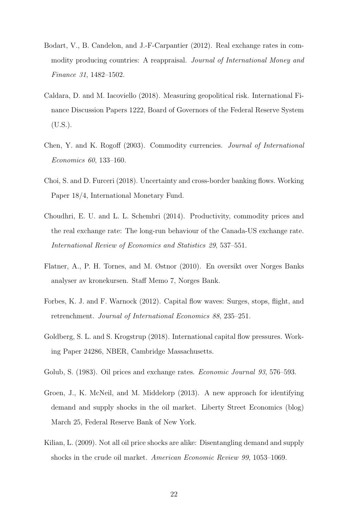- <span id="page-23-1"></span>Bodart, V., B. Candelon, and J.-F-Carpantier (2012). Real exchange rates in commodity producing countries: A reappraisal. Journal of International Money and Finance 31, 1482–1502.
- <span id="page-23-5"></span>Caldara, D. and M. Iacoviello (2018). Measuring geopolitical risk. International Finance Discussion Papers 1222, Board of Governors of the Federal Reserve System (U.S.).
- <span id="page-23-0"></span>Chen, Y. and K. Rogoff (2003). Commodity currencies. Journal of International Economics 60, 133–160.
- <span id="page-23-9"></span>Choi, S. and D. Furceri (2018). Uncertainty and cross-border banking flows. Working Paper 18/4, International Monetary Fund.
- <span id="page-23-2"></span>Choudhri, E. U. and L. L. Schembri (2014). Productivity, commodity prices and the real exchange rate: The long-run behaviour of the Canada-US exchange rate. International Review of Economics and Statistics 29, 537–551.
- <span id="page-23-10"></span>Flatner, A., P. H. Tornes, and M. Østnor (2010). En oversikt over Norges Banks analyser av kronekursen. Staff Memo 7, Norges Bank.
- <span id="page-23-3"></span>Forbes, K. J. and F. Warnock (2012). Capital flow waves: Surges, stops, flight, and retrenchment. Journal of International Economics 88, 235–251.
- <span id="page-23-4"></span>Goldberg, S. L. and S. Krogstrup (2018). International capital flow pressures. Working Paper 24286, NBER, Cambridge Massachusetts.
- <span id="page-23-8"></span>Golub, S. (1983). Oil prices and exchange rates. *Economic Journal 93*, 576–593.
- <span id="page-23-7"></span>Groen, J., K. McNeil, and M. Middelorp (2013). A new approach for identifying demand and supply shocks in the oil market. Liberty Street Economics (blog) March 25, Federal Reserve Bank of New York.
- <span id="page-23-6"></span>Kilian, L. (2009). Not all oil price shocks are alike: Disentangling demand and supply shocks in the crude oil market. American Economic Review 99, 1053–1069.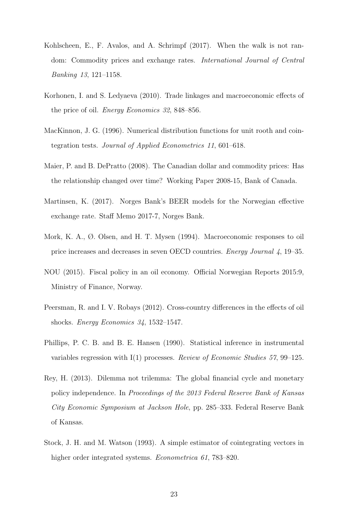- <span id="page-24-1"></span>Kohlscheen, E., F. Avalos, and A. Schrimpf (2017). When the walk is not random: Commodity prices and exchange rates. International Journal of Central Banking 13, 121–1158.
- <span id="page-24-4"></span>Korhonen, I. and S. Ledyaeva (2010). Trade linkages and macroeconomic effects of the price of oil. Energy Economics 32, 848–856.
- <span id="page-24-10"></span>MacKinnon, J. G. (1996). Numerical distribution functions for unit rooth and cointegration tests. Journal of Applied Econometrics 11, 601–618.
- <span id="page-24-0"></span>Maier, P. and B. DePratto (2008). The Canadian dollar and commodity prices: Has the relationship changed over time? Working Paper 2008-15, Bank of Canada.
- <span id="page-24-7"></span>Martinsen, K. (2017). Norges Bank's BEER models for the Norwegian effective exchange rate. Staff Memo 2017-7, Norges Bank.
- <span id="page-24-5"></span>Mork, K. A., Ø. Olsen, and H. T. Mysen (1994). Macroeconomic responses to oil price increases and decreases in seven OECD countries. Energy Journal 4, 19–35.
- <span id="page-24-6"></span>NOU (2015). Fiscal policy in an oil economy. Official Norwegian Reports 2015:9, Ministry of Finance, Norway.
- <span id="page-24-3"></span>Peersman, R. and I. V. Robays (2012). Cross-country differences in the effects of oil shocks. Energy Economics 34, 1532–1547.
- <span id="page-24-8"></span>Phillips, P. C. B. and B. E. Hansen (1990). Statistical inference in instrumental variables regression with I(1) processes. Review of Economic Studies 57, 99–125.
- <span id="page-24-2"></span>Rey, H. (2013). Dilemma not trilemma: The global financial cycle and monetary policy independence. In Proceedings of the 2013 Federal Reserve Bank of Kansas City Economic Symposium at Jackson Hole, pp. 285–333. Federal Reserve Bank of Kansas.
- <span id="page-24-9"></span>Stock, J. H. and M. Watson (1993). A simple estimator of cointegrating vectors in higher order integrated systems. *Econometrica 61*, 783–820.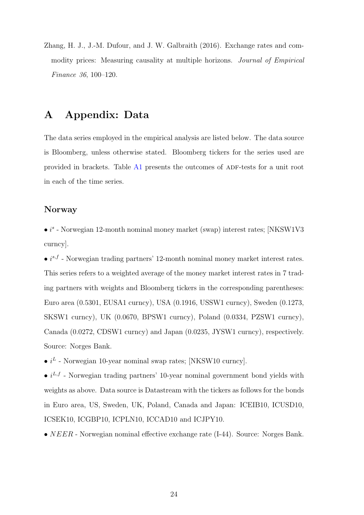<span id="page-25-0"></span>Zhang, H. J., J.-M. Dufour, and J. W. Galbraith (2016). Exchange rates and commodity prices: Measuring causality at multiple horizons. Journal of Empirical Finance 36, 100–120.

## <span id="page-25-1"></span>A Appendix: Data

The data series employed in the empirical analysis are listed below. The data source is Bloomberg, unless otherwise stated. Bloomberg tickers for the series used are provided in brackets. Table [A1](#page-27-0) presents the outcomes of ADF-tests for a unit root in each of the time series.

#### Norway

 $\bullet$  is - Norwegian 12-month nominal money market (swap) interest rates; [NKSW1V3 curncy].

•  $i^{s,f}$  - Norwegian trading partners' 12-month nominal money market interest rates. This series refers to a weighted average of the money market interest rates in 7 trading partners with weights and Bloomberg tickers in the corresponding parentheses: Euro area (0.5301, EUSA1 curncy), USA (0.1916, USSW1 curncy), Sweden (0.1273, SKSW1 curncy), UK (0.0670, BPSW1 curncy), Poland (0.0334, PZSW1 curncy), Canada (0.0272, CDSW1 curncy) and Japan (0.0235, JYSW1 curncy), respectively. Source: Norges Bank.

•  $i^L$  - Norwegian 10-year nominal swap rates; [NKSW10 curncy].

•  $i^{L,f}$  - Norwegian trading partners' 10-year nominal government bond yields with weights as above. Data source is Datastream with the tickers as follows for the bonds in Euro area, US, Sweden, UK, Poland, Canada and Japan: ICEIB10, ICUSD10, ICSEK10, ICGBP10, ICPLN10, ICCAD10 and ICJPY10.

•  $NEER$  - Norwegian nominal effective exchange rate  $(I-44)$ . Source: Norges Bank.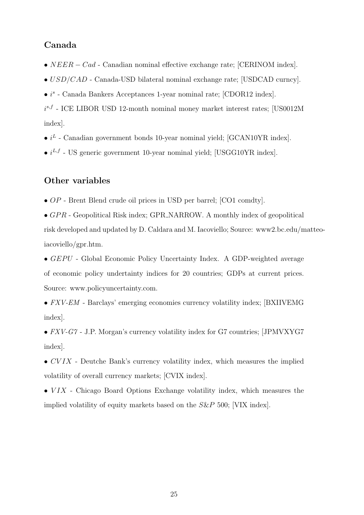#### Canada

- NEER − Cad Canadian nominal effective exchange rate; [CERINOM index].
- USD/CAD Canada-USD bilateral nominal exchange rate; [USDCAD curncy].
- $\bullet$  i<sup>s</sup> Canada Bankers Acceptances 1-year nominal rate; [CDOR12 index].

 $i^{s,f}$  - ICE LIBOR USD 12-month nominal money market interest rates; [US0012M index].

- $i^L$  Canadian government bonds 10-year nominal yield; [GCAN10YR index].
- $i^{L,f}$  US generic government 10-year nominal yield; [USGG10YR index].

#### Other variables

• OP - Brent Blend crude oil prices in USD per barrel; [CO1 comdty].

•  $GPR$  - Geopolitical Risk index; GPR\_NARROW. A monthly index of geopolitical risk developed and updated by D. Caldara and M. Iacoviello; Source: www2.bc.edu/matteoiacoviello/gpr.htm.

•  $GEPU$  - Global Economic Policy Uncertainty Index. A GDP-weighted average of economic policy undertainty indices for 20 countries; GDPs at current prices. Source: www.policyuncertainty.com.

• FXV-EM - Barclays' emerging economies currency volatility index; [BXIIVEMG] index].

• FXV-G7 - J.P. Morgan's currency volatility index for G7 countries; [JPMVXYG7] index].

- $\bullet$  CVIX Deutche Bank's currency volatility index, which measures the implied volatility of overall currency markets; [CVIX index].
- $VIX$  Chicago Board Options Exchange volatility index, which measures the implied volatility of equity markets based on the S&P 500; [VIX index].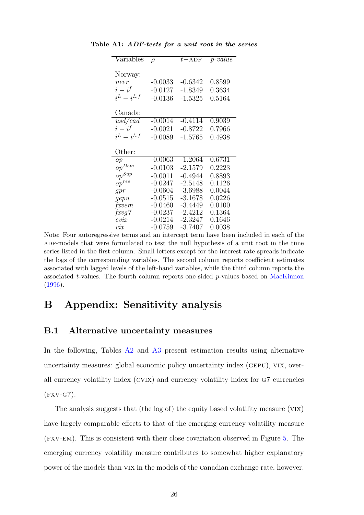| $\sqrt{\text{ariable}}$ | $\rho$    | $t - ADF$ | $p-value$        |
|-------------------------|-----------|-----------|------------------|
|                         |           |           |                  |
| Norway:                 |           |           |                  |
| neer                    | $-0.0033$ | $-0.6342$ | 0.8599           |
| $i-i^f$                 | $-0.0127$ | $-1.8349$ | 0.3634           |
| $i^L - i^{L,f}$         | $-0.0136$ | $-1.5325$ | 0.5164           |
| Canada:                 |           |           |                  |
|                         |           |           |                  |
| $\overline{usd/cad}$    | $-0.0014$ | $-0.4114$ | 0.9039           |
| $i-i^f$                 | $-0.0021$ | $-0.8722$ | 0.7966           |
| $i^L - i^{L,f}$         | $-0.0089$ | $-1.5765$ | 0.4938           |
|                         |           |           |                  |
| Other:                  |           |           |                  |
| op                      | $-0.0063$ | $-1.2064$ | 0.6731           |
| $op^{Dem}$              | $-0.0103$ | $-2.1579$ | 0.2223           |
| $op^{Sup}$              | $-0.0011$ | $-0.4944$ | 0.8893           |
| $op^{res}$              | $-0.0247$ | $-2.5148$ | 0.1126           |
| gpr                     | $-0.0604$ | $-3.6988$ | 0.0044           |
| gepu                    | $-0.0515$ | $-3.1678$ | 0.0226           |
|                         |           |           |                  |
| fxvem                   | $-0.0460$ | -3.4449   | 0.0100           |
| fxyg7                   | $-0.0237$ | $-2.4212$ | 0.1364           |
| cvix                    | $-0.0214$ | $-2.3247$ | 0.1646<br>0.0038 |

<span id="page-27-0"></span>Table A1: ADF-tests for a unit root in the series

Note: Four autoregressive terms and an intercept term have been included in each of the ADF-models that were formulated to test the null hypothesis of a unit root in the time series listed in the first column. Small letters except for the interest rate spreads indicate the logs of the corresponding variables. The second column reports coefficient estimates associated with lagged levels of the left-hand variables, while the third column reports the associated  $t$ -values. The fourth column reports one sided  $p$ -values based on [MacKinnon](#page-24-10) [\(1996\)](#page-24-10).

### <span id="page-27-1"></span>B Appendix: Sensitivity analysis

#### B.1 Alternative uncertainty measures

In the following, Tables [A2](#page-28-0) and [A3](#page-29-0) present estimation results using alternative uncertainty measures: global economic policy uncertainty index (gepu), vix, overall currency volatility index (cvix) and currency volatility index for g7 currencies  $(FXV-G7)$ .

The analysis suggests that (the log of) the equity based volatility measure (vix) have largely comparable effects to that of the emerging currency volatility measure (fxv-em). This is consistent with their close covariation observed in Figure [5.](#page-14-1) The emerging currency volatility measure contributes to somewhat higher explanatory power of the models than vix in the models of the canadian exchange rate, however.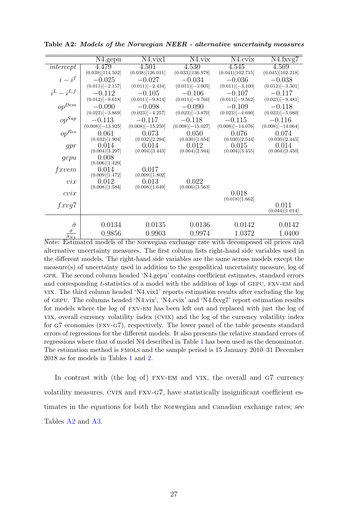|                                          | N <sub>4</sub> .gepu    | N4.vix1                 | $N4$ , vix              | N4.cvix                 | N4.fxvg7            |
|------------------------------------------|-------------------------|-------------------------|-------------------------|-------------------------|---------------------|
| intercept                                | 4.479                   | 4.501                   | 4.530                   | 4.545                   | 4.569               |
|                                          | (0.039)[114.502]        | (0.038)[126.011]        | (0.033)[136.978]        | (0.044)[102.715]        | (0.045)[102.218]    |
| $i-i^f$                                  | $-0.025$                | $-0.027$                | $-0.034$                | $-0.036$                | $-0.038$            |
|                                          | $(0.011)$ [-2.157]      | $(0.011)$ [-2.434]      | $(0.011)[-3.005]$       | $(0.011)[-3.100]$       | $(0.012)$ [-3.301]  |
| $i^L - i^{L,f}$                          | $-0.112$                | $-0.105$                | $-0.106$                | $-0.107$                | $-0.117$            |
|                                          | $(0.012)[-9.618]$       | $(0.011)[-9.814]$       | $(0.011)[-9.760]$       | $(0.011)[-9.562]$       | $(0.023)[-9.481]$   |
| $\mathop{\mathit{op}}\nolimits^{Dem}$    | $-0.090$                | $-0.098$                | $-0.090$                | $-0.109$                | $-0.118$            |
|                                          | $(0.023)$ [-3.869]      | $(0.023)[-4.257]$       | $(0.023)$ [-3.870]      | $(0.023)$ [-4.690]      | $(0.023)$ [-5.080]  |
| $op^{Sup}$                               | $-0.113$                | $-0.117$                | $-0.118$                | $-0.115$                | $-0.116$            |
|                                          | $(0.008)$ [-13.925]     | $(0.008)$ [-15.250]     | $(0.008)$ [-15.027]     | $(0.008)$ [-14.076]     | $(0.008)$ [-14.064] |
| $\mathit{op}^{Res}$                      | 0.061                   | 0.073                   | 0.050                   | 0.076                   | 0.074               |
|                                          | (0.032)[1.904]          | (0.032)[2.294]          | (0.030)[1.654]          | (0.030)[2.544]          | (0.030)[2.445]      |
| gpr                                      | 0.014                   | 0.014                   | 0.012                   | 0.015                   | 0.014               |
|                                          | (0.004)[3.297]          | (0.004)[3.443]          | (0.004)[2.944]          | (0.004)[3.455]          | (0.004)[3.450]      |
| gepu                                     | 0.008                   |                         |                         |                         |                     |
|                                          | (0.006)[1.429]          |                         |                         |                         |                     |
| fxvem                                    | 0.014                   | 0.017                   |                         |                         |                     |
|                                          | (0.009)[1.472]          | (0.009)[1.802]          |                         |                         |                     |
| $\mathit{vix}$                           | 0.012<br>(0.008)[1.584] | 0.013<br>(0.008)[1.649] | 0.022<br>(0.006)[3.563] |                         |                     |
|                                          |                         |                         |                         |                         |                     |
| cvix                                     |                         |                         |                         | 0.018<br>(0.018)[1.662] |                     |
| fxyg7                                    |                         |                         |                         |                         | 0.011               |
|                                          |                         |                         |                         |                         | (0.044)[1.014]      |
|                                          |                         |                         |                         |                         |                     |
| $\hat{\sigma}$                           | 0.0134                  | 0.0135                  | 0.0136                  | 0.0142                  | 0.0142              |
|                                          |                         |                         |                         |                         |                     |
| $\frac{\hat{\sigma}}{\hat{\sigma}_{ML}}$ | 0.9856                  | 0.9903                  | 0.9974                  | 1.0372                  | 1.0400              |

<span id="page-28-0"></span>Table A2: Models of the Norwegian NEER - alternative uncertainty measures

 $\frac{\hat{\sigma}_{N4}}{\text{Note: Estimateed models of the Norwegian exchange rate with decomposed oil prices and...}$ alternative uncertainty measures. The first column lists right-hand side variables used in the different models. The right-hand side variables are the same across models except the measure(s) of uncertainty used in addition to the geopolitical uncertainty measure, log of gpr. The second column headed 'N4.gepu' contains coefficient estimates, standard errors and corresponding  $t$ -statistics of a model with the addition of logs of GEPU, FXV-EM and vix. The third column headed 'N4.vix1' reports estimation results after excluding the log of gepu. The columns headed 'N4.vix', 'N4.cvix' and 'N4.fxvg7' report estimation results for models where the log of fxv-em has been left out and replaced with just the log of vix, overall currency volatility index (cvix) and the log of the currency volatility index for g7 economies (fxv-g7), respectively. The lower panel of the table presents standard errors of regressions for the different models. It also presents the relative standard errors of regressions where that of model N4 described in Table [1](#page-16-0) has been used as the denominator. The estimation method is fmols and the sample period is 15 January 2010–31 December 2018 as for models in Tables [1](#page-16-0) and [2.](#page-17-0)

In contrast with (the log of) FXV-EM and VIX, the overall and G7 currency volatility measures, cvix and fxv-g7, have statistically insignificant coefficient estimates in the equations for both the norwegian and canadian exchange rates; see Tables [A2](#page-28-0) and [A3.](#page-29-0)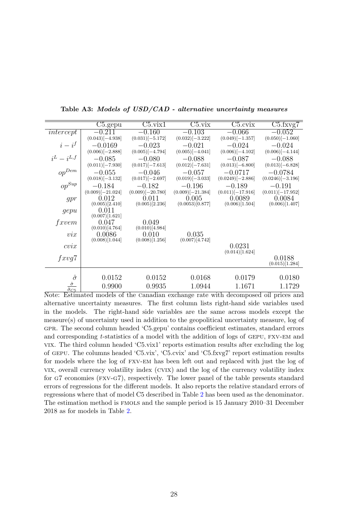|                                | C5.gepu                 | $\overline{\text{C5.vix1}}$ | C5.vix             | $C5$ .cvix          | $C5$ .fxvg $7$      |
|--------------------------------|-------------------------|-----------------------------|--------------------|---------------------|---------------------|
| intercept                      | $-0.211$                | $-0.160$                    | $-0.103$           | $-0.066$            | $-0.052$            |
|                                | $(0.043)$ [-4.938]      | $(0.031)$ [-5.172]          | $(0.032)$ [-3.222] | $(0.049)$ [-1.357]  | $(0.050)$ [-1.060]  |
| $i-i^f$                        | $-0.0169$               | $-0.023$                    | $-0.021$           | $-0.024$            | $-0.024$            |
|                                | $(0.006)$ [-2.888]      | $(0.005)$ [-4.794]          | $(0.005)$ [-4.041] | $(0.006)$ [-4.102]  | $(0.006)$ [-4.144]  |
| $i^L - i^{L,f}$                | $-0.085$                | $-0.080$                    | $-0.088$           | $-0.087$            | $-0.088$            |
|                                | $(0.011)$ [-7.930]      | $(0.017)$ [-7.613]          | $(0.012)$ [-7.631] | $(0.013)[-6.800]$   | $(0.013)[-6.828]$   |
| $op^{Dem}$                     | $-0.055$                | $-0.046$                    | $-0.057$           | $-0.0717$           | $-0.0784$           |
|                                | $(0.018)$ [-3.132]      | $(0.017)$ [-2.697]          | $(0.019)$ [-3.033] | $(0.0249)[-2.886]$  | $(0.0246)[-3.196]$  |
| $op^{Sup}$                     | $-0.184$                | $-0.182$                    | $-0.196$           | $-0.189$            | $-0.191$            |
|                                | $(0.009)$ [-21.024]     | $(0.009)$ [-20.780]         | $(0.009)[-21.384]$ | $(0.011)$ [-17.916] | $(0.011)$ [-17.952] |
| gpr                            | 0.012                   | 0.011                       | 0.005              | 0.0089              | 0.0084              |
|                                | (0.005)[2.410]          | (0.005)[2.236]              | (0.0053)[0.877]    | (0.006)[1.504]      | (0.006)[1.407]      |
| gepu                           | 0.011<br>(0.007)[1.621] |                             |                    |                     |                     |
| fxvem                          | 0.047                   | 0.049                       |                    |                     |                     |
|                                | (0.010)[4.764]          | (0.010)[4.984]              |                    |                     |                     |
| $\mathit{vix}$                 | 0.0086                  | 0.010                       | 0.035              |                     |                     |
|                                | (0.008)[1.044]          | (0.008)[1.256]              | (0.007)[4.742]     |                     |                     |
| $cv\iota x$                    |                         |                             |                    | 0.0231              |                     |
|                                |                         |                             |                    | (0.014)[1.624]      |                     |
| fxyq7                          |                         |                             |                    |                     | 0.0188              |
|                                |                         |                             |                    |                     | (0.015)[1.284]      |
| $\hat{\sigma}$                 | 0.0152                  | 0.0152                      | 0.0168             | 0.0179              | 0.0180              |
| $\hat{\sigma}$                 |                         |                             |                    |                     |                     |
| $\overline{\hat{\sigma}_{C5}}$ | 0.9900                  | 0.9935                      | 1.0944             | 1.1671              | 1.1729              |

<span id="page-29-0"></span>Table A3: Models of USD/CAD - alternative uncertainty measures

Note: Estimated models of the canadian exchange rate with decomposed oil prices and alternative uncertainty measures. The first column lists right-hand side variables used in the models. The right-hand side variables are the same across models except the measure(s) of uncertainty used in addition to the geopolitical uncertainty measure, log of gpr. The second column headed 'C5.gepu' contains coefficient estimates, standard errors and corresponding t-statistics of a model with the addition of logs of GEPU, FXV-EM and vix. The third column headed 'C5.vix1' reports estimation results after excluding the log of gepu. The columns headed 'C5.vix', 'C5.cvix' and 'C5.fxvg7' report estimation results for models where the log of fxv-em has been left out and replaced with just the log of vix, overall currency volatility index (cvix) and the log of the currency volatility index for g7 economies (fxv-g7), respectively. The lower panel of the table presents standard errors of regressions for the different models. It also reports the relative standard errors of regressions where that of model C5 described in Table [2](#page-17-0) has been used as the denominator. The estimation method is fmols and the sample period is 15 January 2010–31 December 2018 as for models in Table [2.](#page-17-0)